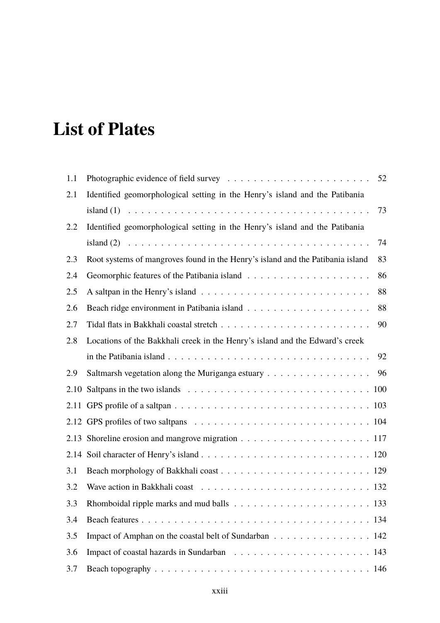## **List of Plates**

| 1.1  |                                                                                                        | 52 |
|------|--------------------------------------------------------------------------------------------------------|----|
| 2.1  | Identified geomorphological setting in the Henry's island and the Patibania                            |    |
|      |                                                                                                        | 73 |
| 2.2  | Identified geomorphological setting in the Henry's island and the Patibania                            |    |
|      |                                                                                                        | 74 |
| 2.3  | Root systems of mangroves found in the Henry's island and the Patibania island                         | 83 |
| 2.4  |                                                                                                        | 86 |
| 2.5  |                                                                                                        | 88 |
| 2.6  |                                                                                                        | 88 |
| 2.7  |                                                                                                        | 90 |
| 2.8  | Locations of the Bakkhali creek in the Henry's island and the Edward's creek                           |    |
|      | in the Patibania island $\ldots \ldots \ldots \ldots \ldots \ldots \ldots \ldots \ldots \ldots \ldots$ | 92 |
| 2.9  | Saltmarsh vegetation along the Muriganga estuary $\dots \dots \dots \dots \dots \dots$                 | 96 |
| 2.10 |                                                                                                        |    |
|      |                                                                                                        |    |
|      |                                                                                                        |    |
| 2.13 | Shoreline erosion and mangrove migration $\ldots \ldots \ldots \ldots \ldots \ldots \ldots 117$        |    |
|      |                                                                                                        |    |
| 3.1  |                                                                                                        |    |
| 3.2  |                                                                                                        |    |
| 3.3  |                                                                                                        |    |
| 3.4  |                                                                                                        |    |
| 3.5  | Impact of Amphan on the coastal belt of Sundarban 142                                                  |    |
| 3.6  |                                                                                                        |    |
| 3.7  |                                                                                                        |    |